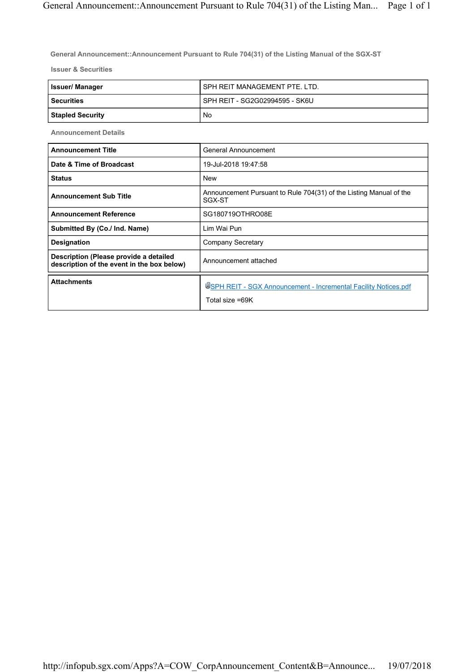**General Announcement::Announcement Pursuant to Rule 704(31) of the Listing Manual of the SGX-ST**

**Issuer & Securities**

| <b>Issuer/Manager</b>   | SPH REIT MANAGEMENT PTE. LTD.  |
|-------------------------|--------------------------------|
| <b>Securities</b>       | SPH REIT - SG2G02994595 - SK6U |
| <b>Stapled Security</b> | No                             |

**Announcement Details**

| <b>Announcement Title</b>                                                            | General Announcement                                                               |
|--------------------------------------------------------------------------------------|------------------------------------------------------------------------------------|
| Date & Time of Broadcast                                                             | 19-Jul-2018 19:47:58                                                               |
| <b>Status</b>                                                                        | <b>New</b>                                                                         |
| <b>Announcement Sub Title</b>                                                        | Announcement Pursuant to Rule 704(31) of the Listing Manual of the<br>SGX-ST       |
| <b>Announcement Reference</b>                                                        | SG180719OTHRO08E                                                                   |
| Submitted By (Co./ Ind. Name)                                                        | I im Wai Pun                                                                       |
| Designation                                                                          | Company Secretary                                                                  |
| Description (Please provide a detailed<br>description of the event in the box below) | Announcement attached                                                              |
| <b>Attachments</b>                                                                   | USPH REIT - SGX Announcement - Incremental Facility Notices.pdf<br>Total size =69K |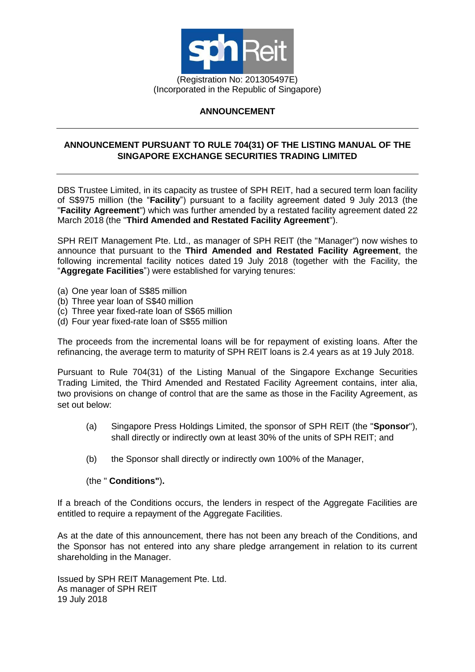

## **ANNOUNCEMENT**

## **ANNOUNCEMENT PURSUANT TO RULE 704(31) OF THE LISTING MANUAL OF THE SINGAPORE EXCHANGE SECURITIES TRADING LIMITED**

DBS Trustee Limited, in its capacity as trustee of SPH REIT, had a secured term loan facility of S\$975 million (the "**Facility**") pursuant to a facility agreement dated 9 July 2013 (the "**Facility Agreement**") which was further amended by a restated facility agreement dated 22 March 2018 (the "**Third Amended and Restated Facility Agreement**").

SPH REIT Management Pte. Ltd., as manager of SPH REIT (the "Manager") now wishes to announce that pursuant to the **Third Amended and Restated Facility Agreement**, the following incremental facility notices dated 19 July 2018 (together with the Facility, the "**Aggregate Facilities**") were established for varying tenures:

- (a) One year loan of S\$85 million
- (b) Three year loan of S\$40 million
- (c) Three year fixed-rate loan of S\$65 million
- (d) Four year fixed-rate loan of S\$55 million

The proceeds from the incremental loans will be for repayment of existing loans. After the refinancing, the average term to maturity of SPH REIT loans is 2.4 years as at 19 July 2018.

Pursuant to Rule 704(31) of the Listing Manual of the Singapore Exchange Securities Trading Limited, the Third Amended and Restated Facility Agreement contains, inter alia, two provisions on change of control that are the same as those in the Facility Agreement, as set out below:

- (a) Singapore Press Holdings Limited, the sponsor of SPH REIT (the "**Sponsor**"), shall directly or indirectly own at least 30% of the units of SPH REIT; and
- (b) the Sponsor shall directly or indirectly own 100% of the Manager,

(the " **Conditions"**)**.**

If a breach of the Conditions occurs, the lenders in respect of the Aggregate Facilities are entitled to require a repayment of the Aggregate Facilities.

As at the date of this announcement, there has not been any breach of the Conditions, and the Sponsor has not entered into any share pledge arrangement in relation to its current shareholding in the Manager.

Issued by SPH REIT Management Pte. Ltd. As manager of SPH REIT 19 July 2018